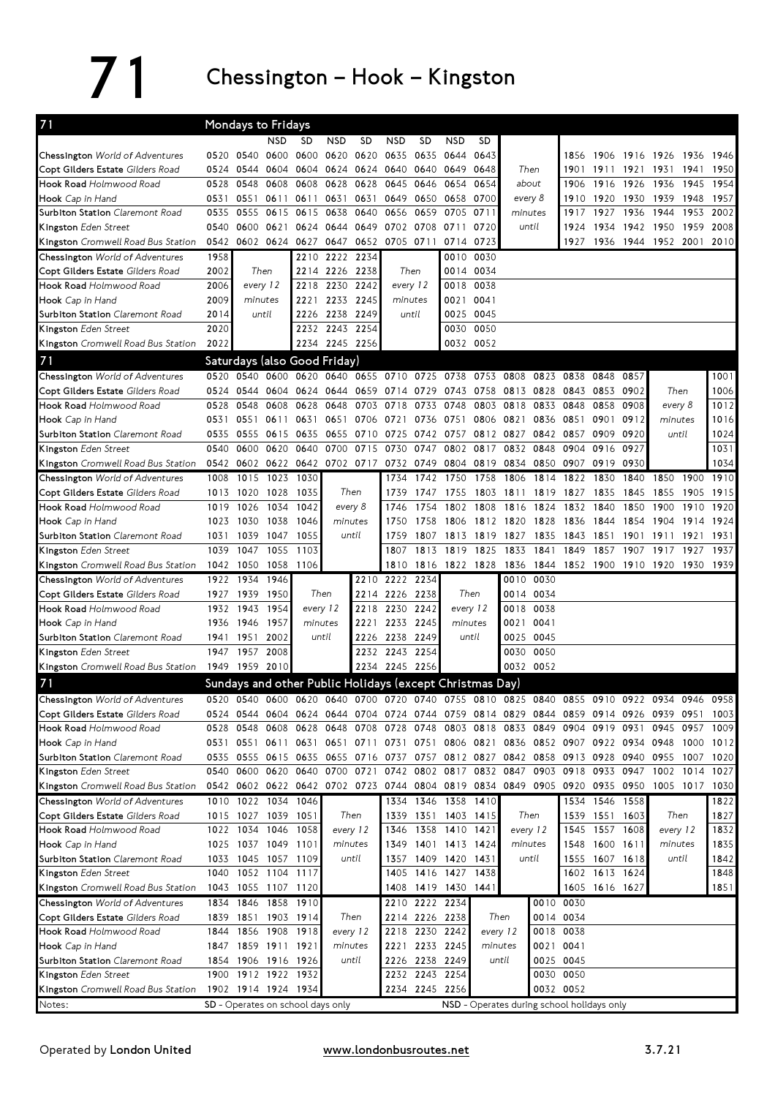71 Chessington – Hook – Kingston

| 71                                                          | Mondays to Fridays |                     |                |                                                          |                     |                |                     |                |                     |           |                                                                                           |      |                                         |                |           |                     |      |      |
|-------------------------------------------------------------|--------------------|---------------------|----------------|----------------------------------------------------------|---------------------|----------------|---------------------|----------------|---------------------|-----------|-------------------------------------------------------------------------------------------|------|-----------------------------------------|----------------|-----------|---------------------|------|------|
|                                                             |                    |                     | <b>NSD</b>     | SD                                                       | <b>NSD</b>          | SD.            | <b>NSD</b>          | <b>SD</b>      | <b>NSD</b>          | SD.       |                                                                                           |      |                                         |                |           |                     |      |      |
| Chessington World of Adventures                             | 0520               | 0540                | 0600           | 0600                                                     | 0620                | 0620           | 0635                | 0635           | 0644                | 0643      |                                                                                           |      | 1856                                    | 1906           | 1916 1926 |                     | 1936 | 1946 |
| Copt Gilders Estate Gilders Road                            | 0524               | 0544                |                | 0604 0604                                                | 0624                | 0624           | 0640                | 0640           | 0649                | 0648      | Then                                                                                      |      | 1901                                    | 1911           | 1921      | 1931                | 1941 | 1950 |
| Hook Road Holmwood Road                                     | 0528               | 0548                | 0608           | 0608                                                     | 0628                | 0628           | 0645                | 0646           | 0654                | 0654      | about                                                                                     |      | 1906                                    | 1916           | 1926      | 1936                | 1945 | 1954 |
| Hook Cap in Hand                                            | 0531               | 0551                |                | 0611 0611                                                | 0631                | 0631           | 0649                | 0650           | 0658                | 0700      | every 8                                                                                   |      | 1910                                    | 1920           | 1930      | 1939                | 1948 | 1957 |
| <b>Surbiton Station Claremont Road</b>                      | 0535               | 0555                |                | 0615 0615                                                | 0638                | 0640           | 0656                | 0659           | 0705                | 0711      | minutes                                                                                   |      | 1917                                    | 1927           | 1936      | 1944                | 1953 | 2002 |
| Kingston Eden Street                                        | 0540               | 0600                | 0621 0624      |                                                          |                     | 0644 0649 0702 |                     | 0708 0711      |                     | 0720      | until                                                                                     |      | 1924                                    | 1934           | 1942 1950 |                     | 1959 | 2008 |
| Kingston Cromwell Road Bus Station                          | 0542               |                     |                | 0602 0624 0627                                           |                     | 0647 0652 0705 |                     | 0711           | 0714                | 0723      |                                                                                           |      | 1927                                    |                |           | 1936 1944 1952 2001 |      | 2010 |
| Chessington World of Adventures                             | 1958               |                     |                | 2210                                                     | 2222 2234           |                |                     |                | 0010                | 0030      |                                                                                           |      |                                         |                |           |                     |      |      |
| Copt Gilders Estate Gilders Road                            | 2002               |                     | Then           |                                                          | 2214 2226 2238      |                |                     | Then           | 0014                | 0034      |                                                                                           |      |                                         |                |           |                     |      |      |
| Hook Road Holmwood Road                                     | 2006               | every 12            |                | 2218                                                     | 2230 2242           |                | every 12            |                | 0018                | 0038      |                                                                                           |      |                                         |                |           |                     |      |      |
| Hook Cap in Hand                                            | 2009               | minutes             |                |                                                          | 2221 2233 2245      |                |                     | minutes        | 0021                | 0041      |                                                                                           |      |                                         |                |           |                     |      |      |
| Surbiton Station Claremont Road                             | 2014               |                     | until          | 2226                                                     | 2238 2249           |                |                     | until          | 0025                | 0045      |                                                                                           |      |                                         |                |           |                     |      |      |
| Kingston Eden Street                                        | 2020               |                     |                |                                                          | 2232 2243 2254      |                |                     |                |                     | 0030 0050 |                                                                                           |      |                                         |                |           |                     |      |      |
| Kingston Cromwell Road Bus Station                          | 2022               |                     |                |                                                          | 2234 2245 2256      |                |                     |                |                     | 0032 0052 |                                                                                           |      |                                         |                |           |                     |      |      |
| 71                                                          |                    |                     |                | Saturdays (also Good Friday)                             |                     |                |                     |                |                     |           |                                                                                           |      |                                         |                |           |                     |      |      |
| Chessington World of Adventures                             |                    | 0520 0540           |                | 0600 0620 0640                                           |                     |                | 0655 0710 0725 0738 |                |                     | 0753      | 0808                                                                                      | 0823 | 0838                                    | 0848           | 0857      |                     |      | 1001 |
|                                                             |                    |                     |                |                                                          |                     |                |                     |                |                     |           |                                                                                           |      |                                         |                |           |                     |      |      |
| Copt Gilders Estate Gilders Road<br>Hook Road Holmwood Road |                    |                     |                | 0524 0544 0604 0624 0644 0659 0714 0729 0743             |                     |                |                     |                |                     | 0758      | 0813 0828 0843 0853 0902                                                                  |      |                                         |                |           | Then                |      | 1006 |
|                                                             | 0528               | 0548                |                | 0608 0628                                                | 0648                | 0703           | 0718                | 0733           | 0748                | 0803      | 0818                                                                                      | 0833 | 0848                                    | 0858           | 0908      | every 8             |      | 1012 |
| Hook Cap in Hand                                            | 0531               | 0551                | 0611           | 0631                                                     | 0651                |                | 0706 0721           |                | 0736 0751           | 0806      | 0821                                                                                      |      | 0836 0851                               | 0901           | 0912      | minutes             |      | 1016 |
| <b>Surbiton Station Claremont Road</b>                      | 0535               | 0555                | 0615 0635      |                                                          |                     | 0655 0710 0725 |                     | 0742 0757      |                     |           | 0812 0827                                                                                 |      | 0842 0857                               | 0909           | 0920      | until               |      | 1024 |
| Kingston Eden Street                                        | 0540               | 0600                | 0620           | 0640                                                     | 0700                | 0715           | 0730                | 0747           | 0802                | 0817      | 0832                                                                                      | 0848 | 0904                                    | 0916           | 0927      |                     |      | 1031 |
| Kingston Cromwell Road Bus Station                          | 0542               |                     |                |                                                          |                     |                |                     |                |                     |           | 0602 0622 0642 0702 0717 0732 0749 0804 0819 0834 0850 0907                               |      |                                         | 0919           | 0930      |                     |      | 1034 |
| Chessington World of Adventures                             | 1008               | 1015                | 1023           | 1030                                                     |                     |                | 1734                | 1742           | 1750                | 1758      | 1806                                                                                      | 1814 | 1822                                    | 1830           | 1840      | 1850                | 1900 | 1910 |
| Copt Gilders Estate Gilders Road                            | 1013               | 1020                | 1028           | 1035                                                     |                     | Then           | 1739                | 1747           | 1755                | 1803      | 1811                                                                                      | 1819 | 1827                                    | 1835           | 1845      | 1855                | 1905 | 1915 |
| Hook Road Holmwood Road                                     | 1019               | 1026                | 1034           | 1042                                                     |                     | every 8        | 1746                | 1754           | 1802                | 1808      | 1816                                                                                      | 1824 | 1832                                    | 1840           | 1850      | 1900                | 1910 | 1920 |
| Hook Cap in Hand                                            | 1023               | 1030                | 1038           | 1046                                                     | minutes             |                | 1750                | 1758           | 1806                | 1812      | 1820                                                                                      | 1828 | 1836                                    | 1844           | 1854      | 1904                | 1914 | 1924 |
| Surbiton Station Claremont Road                             | 1031               | 1039                | 1047           | 1055                                                     |                     | until          | 1759                | 1807           | 1813                | 1819      | 1827                                                                                      | 1835 | 1843                                    | 1851           | 1901      | 1911                | 1921 | 1931 |
| Kingston Eden Street                                        | 1039               | 1047                | 1055           | 1103                                                     |                     |                | 1807                |                | 1813 1819           | 1825      | 1833                                                                                      | 1841 | 1849                                    | 1857           | 1907      | 1917                | 1927 | 1937 |
| Kingston Cromwell Road Bus Station                          |                    | 1042 1050           |                | 1058 1106                                                |                     |                |                     |                | 1810 1816 1822 1828 |           |                                                                                           |      | 1836 1844 1852 1900 1910 1920 1930 1939 |                |           |                     |      |      |
| Chessington World of Adventures                             | 1922               | 1934                | 1946           |                                                          |                     | 2210           | 2222                | 2234           |                     |           | 0010                                                                                      | 0030 |                                         |                |           |                     |      |      |
| Copt Gilders Estate Gilders Road                            | 1927               | 1939                | 1950           | Then                                                     |                     |                | 2214 2226 2238      |                | Then                |           | 0014 0034                                                                                 |      |                                         |                |           |                     |      |      |
| Hook Road Holmwood Road                                     |                    | 1932 1943 1954      |                | every 12                                                 |                     | 2218           | 2230 2242           |                |                     | every 12  | 0018 0038                                                                                 |      |                                         |                |           |                     |      |      |
| Hook Cap in Hand                                            | 1936               | 1946 1957           |                | minutes                                                  |                     | 2221           | 2233                | 2245           | minutes             |           | 0021                                                                                      | 0041 |                                         |                |           |                     |      |      |
| Surbiton Station Claremont Road                             |                    | 1941 1951           | 2002           |                                                          | until               | 2226           | 2238                | 2249           |                     | until     | 0025 0045                                                                                 |      |                                         |                |           |                     |      |      |
| Kingston Eden Street                                        | 1947               | 1957                | 2008           |                                                          |                     |                | 2232 2243 2254      |                |                     |           | 0030                                                                                      | 0050 |                                         |                |           |                     |      |      |
| Kingston Cromwell Road Bus Station                          |                    | 1949 1959 2010      |                |                                                          |                     |                | 2234 2245 2256      |                |                     |           | 0032 0052                                                                                 |      |                                         |                |           |                     |      |      |
| 71                                                          |                    |                     |                | Sundays and other Public Holidays (except Christmas Day) |                     |                |                     |                |                     |           |                                                                                           |      |                                         |                |           |                     |      |      |
| Chessington World of Adventures                             |                    |                     |                |                                                          |                     |                |                     |                |                     |           | 0520 0540 0600 0620 0640 0700 0720 0740 0755 0810 0825 0840 0855 0910 0922 0934 0946 0958 |      |                                         |                |           |                     |      |      |
| Copt Gilders Estate Gilders Road                            |                    |                     |                |                                                          |                     |                |                     |                |                     |           | 0524 0544 0604 0624 0644 0704 0724 0744 0759 0814 0829 0844 0859 0914 0926 0939 0951 1003 |      |                                         |                |           |                     |      |      |
| Hook Road Holmwood Road                                     |                    | 0528 0548           |                | 0608 0628                                                | 0648                | 0708           | 0728                | 0748           | 0803 0818           |           | 0833                                                                                      |      | 0849 0904                               | 0919           | 0931      | 0945                | 0957 | 1009 |
| Hook Cap in Hand                                            |                    |                     |                |                                                          |                     |                |                     |                |                     |           | 0531 0551 0611 0631 0651 0711 0731 0751 0806 0821 0836 0852 0907 0922 0934 0948           |      |                                         |                |           |                     | 1000 | 1012 |
| Surbiton Station Claremont Road                             | 0535               | 0555                | 0615 0635      |                                                          |                     |                |                     |                |                     |           | 0655 0716 0737 0757 0812 0827 0842 0858 0913 0928                                         |      |                                         |                | 0940 0955 |                     | 1007 | 1020 |
| Kingston Eden Street                                        |                    | 0540 0600           |                | 0620 0640                                                |                     |                |                     |                |                     |           | 0700 0721 0742 0802 0817 0832 0847 0903 0918 0933                                         |      |                                         |                | 0947      | 1002 1014           |      | 1027 |
| Kingston Cromwell Road Bus Station                          |                    |                     |                |                                                          |                     |                |                     |                |                     |           | 0542 0602 0622 0642 0702 0723 0744 0804 0819 0834 0849 0905 0920 0935 0950                |      |                                         |                |           | 1005 1017           |      | 1030 |
| Chessington World of Adventures                             |                    | 1010 1022 1034 1046 |                |                                                          |                     |                |                     |                | 1334 1346 1358 1410 |           |                                                                                           |      |                                         | 1534 1546 1558 |           |                     |      | 1822 |
| Copt Gilders Estate Gilders Road                            |                    | 1015 1027 1039 1051 |                |                                                          |                     | Then           | 1339                |                | 1351 1403 1415      |           | Then                                                                                      |      |                                         | 1539 1551 1603 |           | Then                |      | 1827 |
| Hook Road Holmwood Road                                     |                    | 1022 1034 1046      |                | 1058                                                     |                     | every 12       | 1346                |                | 1358 1410 1421      |           | every 12                                                                                  |      | 1545                                    | 1557 1608      |           | every 12            |      | 1832 |
| Hook Cap in Hand                                            |                    | 1025 1037 1049 1101 |                |                                                          |                     | minutes        | 1349                |                | 1401 1413 1424      |           | minutes                                                                                   |      | 1548                                    | 1600 1611      |           | minutes             |      | 1835 |
| Surbiton Station Claremont Road                             | 1033               | 1045 1057 1109      |                |                                                          | until               |                | 1357                |                | 1409 1420           | 1431      | until                                                                                     |      | 1555                                    | 1607 1618      |           | until               |      | 1842 |
| Kingston Eden Street                                        | 1040               |                     | 1052 1104 1117 |                                                          |                     |                | 1405                | 1416 1427      |                     | 1438      |                                                                                           |      |                                         | 1602 1613 1624 |           |                     |      | 1848 |
| Kingston Cromwell Road Bus Station                          |                    | 1043 1055 1107 1120 |                |                                                          |                     |                | 1408                |                | 1419 1430           | 1441      |                                                                                           |      |                                         | 1605 1616 1627 |           |                     |      | 1851 |
| Chessington World of Adventures                             |                    | 1834 1846           |                | 1858 1910                                                |                     |                |                     |                | 2210 2222 2234      |           |                                                                                           |      | 0010 0030                               |                |           |                     |      |      |
| Copt Gilders Estate Gilders Road                            |                    | 1839 1851 1903 1914 |                |                                                          |                     | Then           |                     | 2214 2226 2238 |                     |           | Then                                                                                      |      | 0014 0034                               |                |           |                     |      |      |
| Hook Road Holmwood Road                                     |                    | 1844 1856 1908 1918 |                |                                                          |                     |                |                     | 2218 2230 2242 |                     |           | every 12                                                                                  |      | 0018 0038                               |                |           |                     |      |      |
| Hook Cap in Hand                                            |                    | 1847 1859 1911 1921 |                |                                                          | every 12<br>minutes |                |                     | 2221 2233 2245 |                     |           | minutes                                                                                   |      | 0021 0041                               |                |           |                     |      |      |
| Surbiton Station Claremont Road                             |                    | 1854 1906 1916 1926 |                |                                                          |                     | until          |                     | 2226 2238 2249 |                     |           | until                                                                                     |      | 0025 0045                               |                |           |                     |      |      |
| Kingston Eden Street                                        |                    | 1900 1912 1922 1932 |                |                                                          |                     |                |                     | 2232 2243 2254 |                     |           |                                                                                           |      | 0030 0050                               |                |           |                     |      |      |
| Kingston Cromwell Road Bus Station                          |                    | 1902 1914 1924 1934 |                |                                                          |                     |                |                     | 2234 2245 2256 |                     |           |                                                                                           |      | 0032 0052                               |                |           |                     |      |      |
| Notes:                                                      |                    |                     |                | SD - Operates on school days only                        |                     |                |                     |                |                     |           | NSD - Operates during school holidays only                                                |      |                                         |                |           |                     |      |      |
|                                                             |                    |                     |                |                                                          |                     |                |                     |                |                     |           |                                                                                           |      |                                         |                |           |                     |      |      |